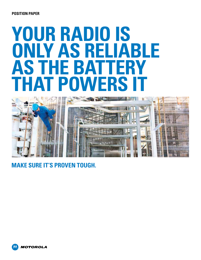#### **POSITION PAPER**

# **Your Radio is Only as Reliable AS THE BATTI THAT POWERS**



**Make sure it's Proven Tough.**

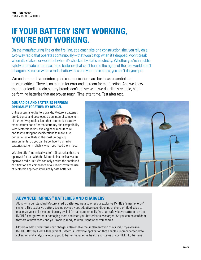# **If your battery isn't working, you're not working.**

On the manufacturing line or the fire line, at a crash site or a construction site, you rely on a two-way radio that operates continuously – that won't stop when it's dropped, won't break when it's shaken, or won't fail when it's shocked by static electricity. Whether you're in public safety or private enterprise, radio batteries that can't handle the rigors of the real world aren't a bargain. Because when a radio battery dies and your radio stops, you can't do your job.

We understand that uninterrupted communications are business-essential and mission-critical. There is no margin for error and no room for malfunction. And we know that other leading radio battery brands don't deliver what we do. Highly reliable, highperforming batteries that are proven tough. Time after time. Test after test.

#### **Our radios and batteries perform optimally together. By design.**

Unlike aftermarket battery brands, Motorola batteries are designed and developed as an integral component of our two-way radios. No other aftermarket battery manufacturer can offer that certainty and compatibility with Motorola radios. We engineer, manufacture and test to stringent specifications to make sure our batteries withstand the most unforgiving environments. So you can be confident our radio batteries perform reliably, when you need them most.

We also offer "intrinsically safe" (IS) batteries that are approved for use with the Motorola instrinsically safe approved radio unit. We can only ensure the continued certification and compliance of our radios with the use of Motorola approved intrinsically safe batteries.



### **Advanced IMPRES™ Batteries and Chargers**

Along with our standard Motorola radio batteries, we also offer our exclusive IMPRES "smart energy" system. This exclusive battery technology provides adaptive reconditioning and end-of-life display to maximize your talk-time and battery cycle life – all automatically. You can safely leave batteries on the IMPRES charger without damaging them and keep your batteries fully charged. So you can be confident they are always ready and your radio is ready to work, right when you need it.

Motorola IMPRES batteries and chargers also enable the implementation of our industry-exclusive IMPRES Battery Fleet Management System. A software application that enables unprecedented data collection and analysis allowing you to better manage the health and status of your IMPRES batteries.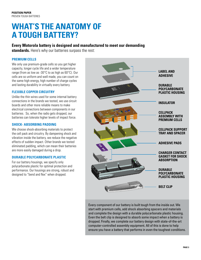### **What's the anatomy of A tough battery?**

### **Every Motorola battery is designed and manufactured to meet our demanding**

**standards.** Here's why our batteries surpass the rest:

#### **Premium Cells**

We only use premium-grade cells so you get higher capacity, longer cycle life and a wider temperature range (from as low as -30°C to as high as 60°C). Our cells are so uniform and well made, you can count on the same high energy, high number of charge cycles and lasting durability in virtually every battery.

#### **FLEXIBLE COPPER Circuitry**

Unlike the thin wires used for some internal battery connections in the brands we tested, we use circuit boards and other more reliable means to make electrical connections between components in our batteries. So, when the radio gets dropped, our batteries can tolerate higher levels of impact force.

#### **Shock- Absorbing Padding**

We choose shock-absorbing materials to protect the cell pack and circuitry. By dampening shock and vibration inside the battery, we reduce the negative effects of sudden impact. Other brands we tested eliminated padding, which can mean their batteries are more easily damaged during a drop.

#### **Durable Polycarbonate Plastic**

For our battery housings, we specify only polycarbonate plastic for optimal protection and performance. Our housings are strong, robust and designed to "bend and flex" when dropped.



Every component of our battery is built tough from the inside out. We start with premium cells, add shock absorbing spacers and materials and complete the design with a durable polycarbonate plastic housing. Even the belt clip is designed to absorb some impact when a battery is dropped. Finally, we complete our battery design with state-of-the-art computer-controlled assembly equipment. All of this is done to help ensure you have a battery that performs in even the toughest conditions.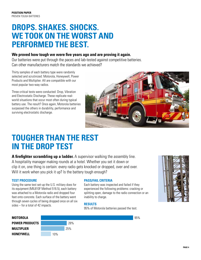### **Drops. Shakes. Shocks. We took on the worst and performed the best.**

### **We proved how tough we were five years ago and are proving it again.**

Our batteries were put through the paces and lab-tested against competitive batteries. Can other manufacturers match the standards we achieved?

Thirty samples of each battery type were randomly selected and scrutinized: Motorola, Honeywell, Power Products and Multiplier. All are compatible with our most popular two-way radios.

Three critical tests were conducted: Drop, Vibration and Electrostatic Discharge. These replicate realworld situations that occur most often during typical battery use. The result? Once again, Motorola batteries surpassed the others in durability, performance and surviving electrostatic discharge.



95%

### **Tougher than the rest in the DROP TEST**

**A firefighter scrambling up a ladder.** A supervisor walking the assembly line. A hospitality manager making rounds at a hotel. Whether you set it down or clip it on, one thing is certain: every radio gets knocked or dropped, over and over. Will it work when you pick it up? Is the battery tough enough?

#### **TEST PROCEDURE**

Using the same test set-up the U.S. military does for its equipment (MIL810F Method 516.5), each battery was attached to a Motorola radio and dropped four feet onto concrete. Each surface of the battery went through seven cycles of being dropped once on all six sides – for a total of 42 impacts.

#### **PASS/FAIL CRITERIA**

Each battery was inspected and failed if they experienced the following problems: cracking or splitting open, damage to the radio connection or an inability to charge.

#### **REsults**

95% of Motorola batteries passed the test.





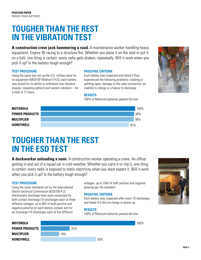## **Tougher than the rest in the VIBRATION TEST**

**A construction crew jack hammering a road.** A maintenance worker handling heavy equipment. Engine 36 racing to a structure fire. Whether you place it on the seat or put it on a belt, one thing is certain: every radio gets shaken, repeatedly. Will it work when you pick it up? Is the battery tough enough?

#### **TEST PROCEDURE**

Using the same test set-up the U.S. military does for its equipment (MIL810F Method 514.5), each battery was tested for its ability to withstand sine vibration (regular, repeating pattern) and random vibration – for a total of 12 hours.

#### **PASS/FAIL CRITERIA**

Each battery was inspected and failed if they experienced the following problems: cracking or splitting open, damage to the radio connection, an inability to charge or a failure to discharge.

#### **REsults**

100% of Motorola batteries passed the test.



### **Tougher than the rest in the ESD TEST**

**A dockworker unloading a semi.** A construction worker operating a crane. An officer getting in and out of a squad car in cold weather. Whether you carry it or clip it, one thing is certain: every radio is exposed to static electricity when you least expect it. Will it work when you pick it up? Is the battery tough enough?

#### **TEST PROCEDURE**

Using the same standards set by the International Electro-technical Commission (IEC6100-4-2), electrostatic discharge tests were conducted for both contact discharge (10 discharges each at three different voltages, up to 8kV of both positive and negative polarity) on each battery contact and for air discharge (10 discharges each at five different

voltages, up to 15kV of both positive and negative polarity) per the standard.

#### **PASS/FAIL CRITERIA**

Each battery was inspected after every 10 discharges and failed if it did not charge or power up.

#### **REsults**

100% of Motorola batteries passed the test.